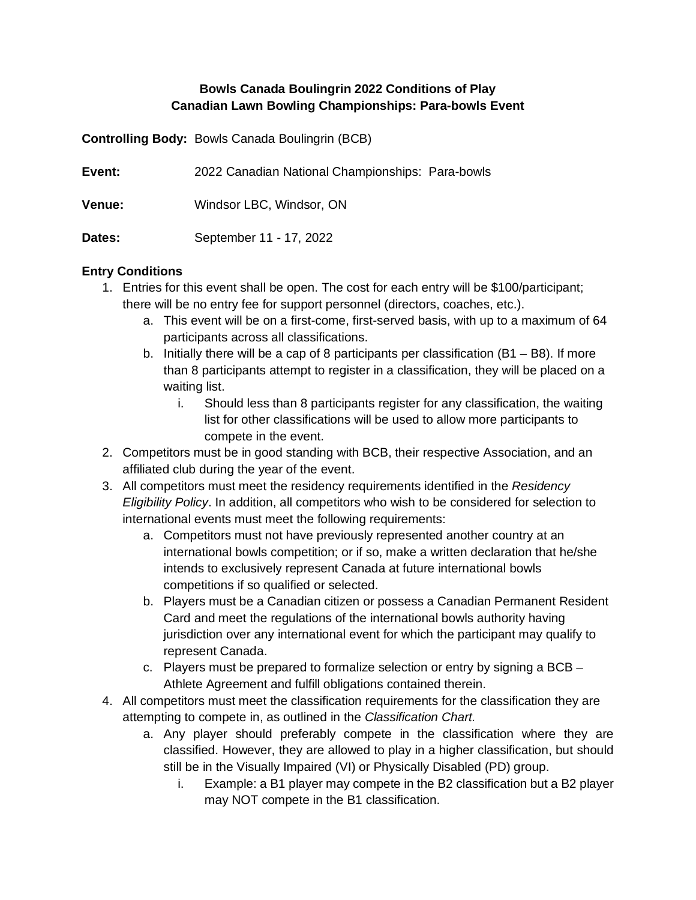## **Bowls Canada Boulingrin 2022 Conditions of Play Canadian Lawn Bowling Championships: Para-bowls Event**

**Controlling Body:** Bowls Canada Boulingrin (BCB)

| Event:        | 2022 Canadian National Championships: Para-bowls |
|---------------|--------------------------------------------------|
| <b>Venue:</b> | Windsor LBC, Windsor, ON                         |
| Dates:        | September 11 - 17, 2022                          |

#### **Entry Conditions**

- 1. Entries for this event shall be open. The cost for each entry will be \$100/participant; there will be no entry fee for support personnel (directors, coaches, etc.).
	- a. This event will be on a first-come, first-served basis, with up to a maximum of 64 participants across all classifications.
	- b. Initially there will be a cap of 8 participants per classification  $(B1 B8)$ . If more than 8 participants attempt to register in a classification, they will be placed on a waiting list.
		- i. Should less than 8 participants register for any classification, the waiting list for other classifications will be used to allow more participants to compete in the event.
- 2. Competitors must be in good standing with BCB, their respective Association, and an affiliated club during the year of the event.
- 3. All competitors must meet the residency requirements identified in the *Residency Eligibility Policy*. In addition, all competitors who wish to be considered for selection to international events must meet the following requirements:
	- a. Competitors must not have previously represented another country at an international bowls competition; or if so, make a written declaration that he/she intends to exclusively represent Canada at future international bowls competitions if so qualified or selected.
	- b. Players must be a Canadian citizen or possess a Canadian Permanent Resident Card and meet the regulations of the international bowls authority having jurisdiction over any international event for which the participant may qualify to represent Canada.
	- c. Players must be prepared to formalize selection or entry by signing a BCB Athlete Agreement and fulfill obligations contained therein.
- 4. All competitors must meet the classification requirements for the classification they are attempting to compete in, as outlined in the *Classification Chart.*
	- a. Any player should preferably compete in the classification where they are classified. However, they are allowed to play in a higher classification, but should still be in the Visually Impaired (VI) or Physically Disabled (PD) group.
		- i. Example: a B1 player may compete in the B2 classification but a B2 player may NOT compete in the B1 classification.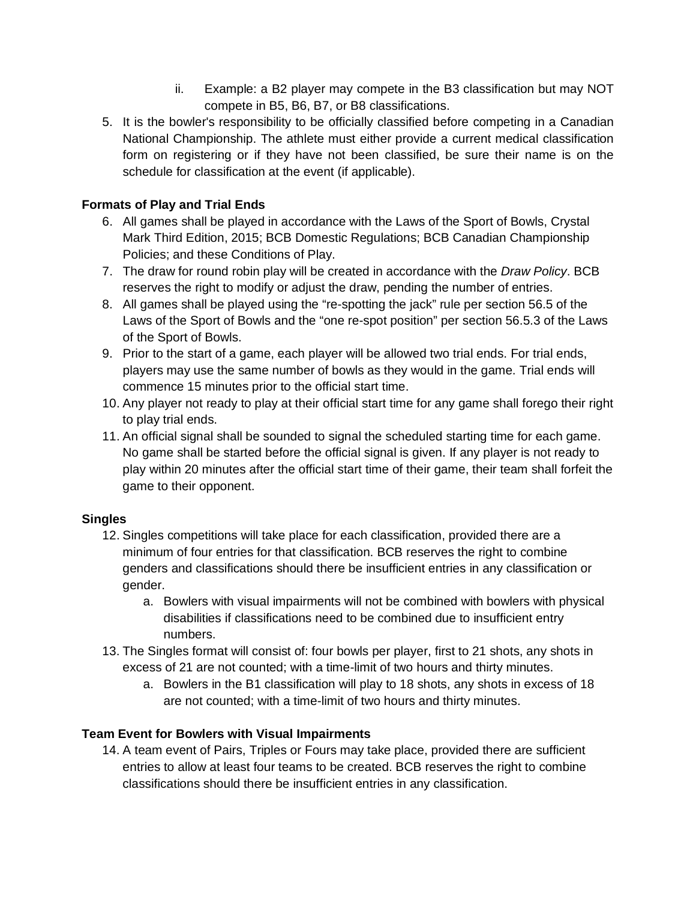- ii. Example: a B2 player may compete in the B3 classification but may NOT compete in B5, B6, B7, or B8 classifications.
- 5. It is the bowler's responsibility to be officially classified before competing in a Canadian National Championship. The athlete must either provide a current medical classification form on registering or if they have not been classified, be sure their name is on the schedule for classification at the event (if applicable).

# **Formats of Play and Trial Ends**

- 6. All games shall be played in accordance with the Laws of the Sport of Bowls, Crystal Mark Third Edition, 2015; BCB Domestic Regulations; BCB Canadian Championship Policies; and these Conditions of Play.
- 7. The draw for round robin play will be created in accordance with the *Draw Policy*. BCB reserves the right to modify or adjust the draw, pending the number of entries.
- 8. All games shall be played using the "re-spotting the jack" rule per section 56.5 of the Laws of the Sport of Bowls and the "one re-spot position" per section 56.5.3 of the Laws of the Sport of Bowls.
- 9. Prior to the start of a game, each player will be allowed two trial ends. For trial ends, players may use the same number of bowls as they would in the game. Trial ends will commence 15 minutes prior to the official start time.
- 10. Any player not ready to play at their official start time for any game shall forego their right to play trial ends.
- 11. An official signal shall be sounded to signal the scheduled starting time for each game. No game shall be started before the official signal is given. If any player is not ready to play within 20 minutes after the official start time of their game, their team shall forfeit the game to their opponent.

## **Singles**

- 12. Singles competitions will take place for each classification, provided there are a minimum of four entries for that classification. BCB reserves the right to combine genders and classifications should there be insufficient entries in any classification or gender.
	- a. Bowlers with visual impairments will not be combined with bowlers with physical disabilities if classifications need to be combined due to insufficient entry numbers.
- 13. The Singles format will consist of: four bowls per player, first to 21 shots, any shots in excess of 21 are not counted; with a time-limit of two hours and thirty minutes.
	- a. Bowlers in the B1 classification will play to 18 shots, any shots in excess of 18 are not counted; with a time-limit of two hours and thirty minutes.

## **Team Event for Bowlers with Visual Impairments**

14. A team event of Pairs, Triples or Fours may take place, provided there are sufficient entries to allow at least four teams to be created. BCB reserves the right to combine classifications should there be insufficient entries in any classification.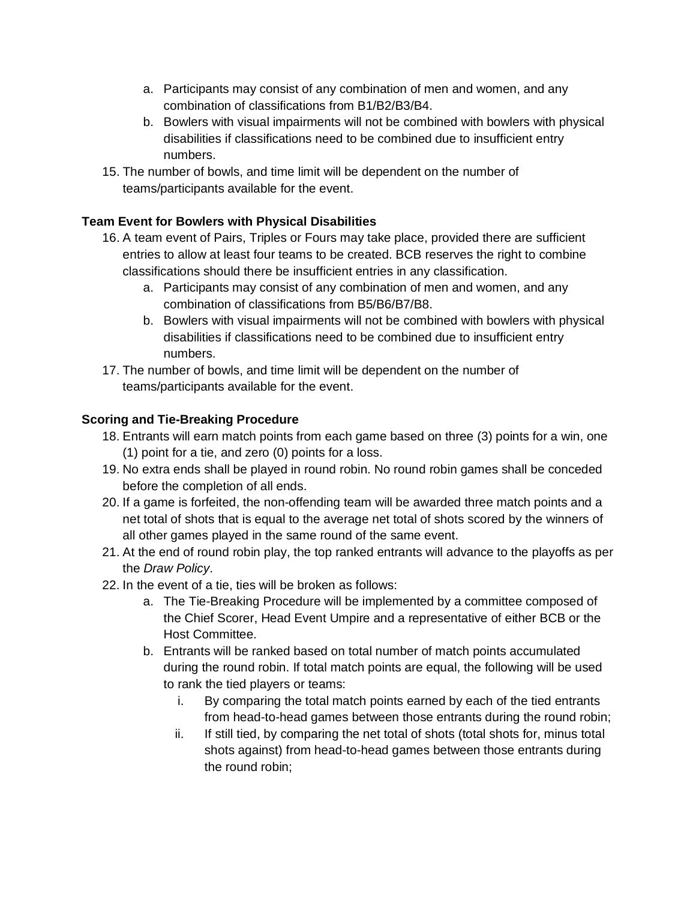- a. Participants may consist of any combination of men and women, and any combination of classifications from B1/B2/B3/B4.
- b. Bowlers with visual impairments will not be combined with bowlers with physical disabilities if classifications need to be combined due to insufficient entry numbers.
- 15. The number of bowls, and time limit will be dependent on the number of teams/participants available for the event.

# **Team Event for Bowlers with Physical Disabilities**

- 16. A team event of Pairs, Triples or Fours may take place, provided there are sufficient entries to allow at least four teams to be created. BCB reserves the right to combine classifications should there be insufficient entries in any classification.
	- a. Participants may consist of any combination of men and women, and any combination of classifications from B5/B6/B7/B8.
	- b. Bowlers with visual impairments will not be combined with bowlers with physical disabilities if classifications need to be combined due to insufficient entry numbers.
- 17. The number of bowls, and time limit will be dependent on the number of teams/participants available for the event.

# **Scoring and Tie-Breaking Procedure**

- 18. Entrants will earn match points from each game based on three (3) points for a win, one (1) point for a tie, and zero (0) points for a loss.
- 19. No extra ends shall be played in round robin. No round robin games shall be conceded before the completion of all ends.
- 20. If a game is forfeited, the non-offending team will be awarded three match points and a net total of shots that is equal to the average net total of shots scored by the winners of all other games played in the same round of the same event.
- 21. At the end of round robin play, the top ranked entrants will advance to the playoffs as per the *Draw Policy*.
- 22. In the event of a tie, ties will be broken as follows:
	- a. The Tie-Breaking Procedure will be implemented by a committee composed of the Chief Scorer, Head Event Umpire and a representative of either BCB or the Host Committee.
	- b. Entrants will be ranked based on total number of match points accumulated during the round robin. If total match points are equal, the following will be used to rank the tied players or teams:
		- i. By comparing the total match points earned by each of the tied entrants from head-to-head games between those entrants during the round robin;
		- ii. If still tied, by comparing the net total of shots (total shots for, minus total shots against) from head-to-head games between those entrants during the round robin;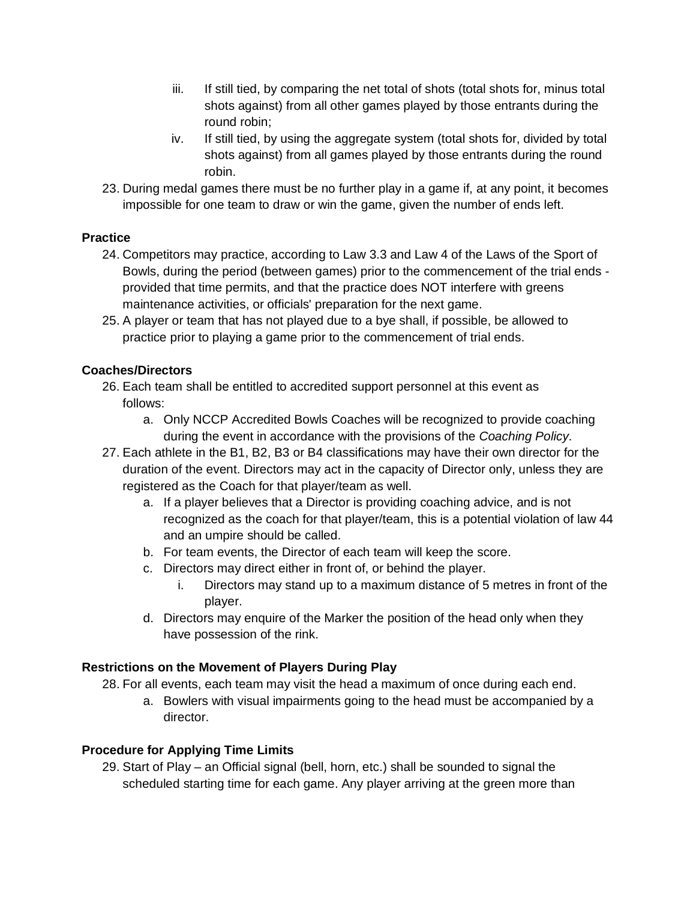- iii. If still tied, by comparing the net total of shots (total shots for, minus total shots against) from all other games played by those entrants during the round robin;
- iv. If still tied, by using the aggregate system (total shots for, divided by total shots against) from all games played by those entrants during the round robin.
- 23. During medal games there must be no further play in a game if, at any point, it becomes impossible for one team to draw or win the game, given the number of ends left.

# **Practice**

- 24. Competitors may practice, according to Law 3.3 and Law 4 of the Laws of the Sport of Bowls, during the period (between games) prior to the commencement of the trial ends provided that time permits, and that the practice does NOT interfere with greens maintenance activities, or officials' preparation for the next game.
- 25. A player or team that has not played due to a bye shall, if possible, be allowed to practice prior to playing a game prior to the commencement of trial ends.

## **Coaches/Directors**

- 26. Each team shall be entitled to accredited support personnel at this event as follows:
	- a. Only NCCP Accredited Bowls Coaches will be recognized to provide coaching during the event in accordance with the provisions of the *Coaching Policy*.
- 27. Each athlete in the B1, B2, B3 or B4 classifications may have their own director for the duration of the event. Directors may act in the capacity of Director only, unless they are registered as the Coach for that player/team as well.
	- a. If a player believes that a Director is providing coaching advice, and is not recognized as the coach for that player/team, this is a potential violation of law 44 and an umpire should be called.
	- b. For team events, the Director of each team will keep the score.
	- c. Directors may direct either in front of, or behind the player.
		- i. Directors may stand up to a maximum distance of 5 metres in front of the player.
	- d. Directors may enquire of the Marker the position of the head only when they have possession of the rink.

## **Restrictions on the Movement of Players During Play**

28. For all events, each team may visit the head a maximum of once during each end.

a. Bowlers with visual impairments going to the head must be accompanied by a director.

# **Procedure for Applying Time Limits**

29. Start of Play – an Official signal (bell, horn, etc.) shall be sounded to signal the scheduled starting time for each game. Any player arriving at the green more than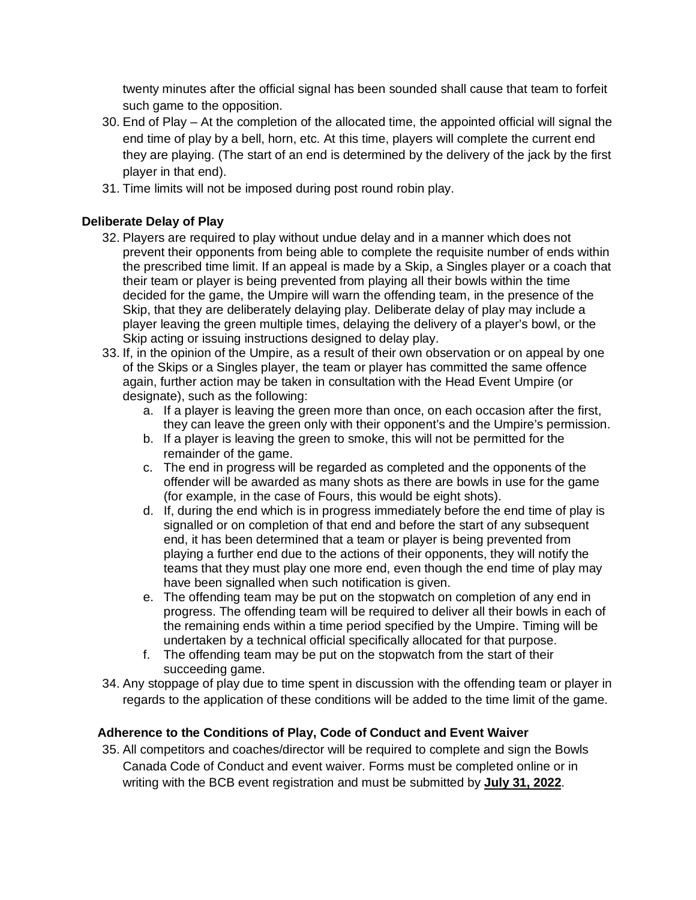twenty minutes after the official signal has been sounded shall cause that team to forfeit such game to the opposition.

- 30. End of Play At the completion of the allocated time, the appointed official will signal the end time of play by a bell, horn, etc. At this time, players will complete the current end they are playing. (The start of an end is determined by the delivery of the jack by the first player in that end).
- 31. Time limits will not be imposed during post round robin play.

## **Deliberate Delay of Play**

- 32. Players are required to play without undue delay and in a manner which does not prevent their opponents from being able to complete the requisite number of ends within the prescribed time limit. If an appeal is made by a Skip, a Singles player or a coach that their team or player is being prevented from playing all their bowls within the time decided for the game, the Umpire will warn the offending team, in the presence of the Skip, that they are deliberately delaying play. Deliberate delay of play may include a player leaving the green multiple times, delaying the delivery of a player's bowl, or the Skip acting or issuing instructions designed to delay play.
- 33. If, in the opinion of the Umpire, as a result of their own observation or on appeal by one of the Skips or a Singles player, the team or player has committed the same offence again, further action may be taken in consultation with the Head Event Umpire (or designate), such as the following:
	- a. If a player is leaving the green more than once, on each occasion after the first, they can leave the green only with their opponent's and the Umpire's permission.
	- b. If a player is leaving the green to smoke, this will not be permitted for the remainder of the game.
	- c. The end in progress will be regarded as completed and the opponents of the offender will be awarded as many shots as there are bowls in use for the game (for example, in the case of Fours, this would be eight shots).
	- d. If, during the end which is in progress immediately before the end time of play is signalled or on completion of that end and before the start of any subsequent end, it has been determined that a team or player is being prevented from playing a further end due to the actions of their opponents, they will notify the teams that they must play one more end, even though the end time of play may have been signalled when such notification is given.
	- e. The offending team may be put on the stopwatch on completion of any end in progress. The offending team will be required to deliver all their bowls in each of the remaining ends within a time period specified by the Umpire. Timing will be undertaken by a technical official specifically allocated for that purpose.
	- f. The offending team may be put on the stopwatch from the start of their succeeding game.
- 34. Any stoppage of play due to time spent in discussion with the offending team or player in regards to the application of these conditions will be added to the time limit of the game.

## **Adherence to the Conditions of Play, Code of Conduct and Event Waiver**

35. All competitors and coaches/director will be required to complete and sign the Bowls Canada Code of Conduct and event waiver. Forms must be completed online or in writing with the BCB event registration and must be submitted by **July 31, 2022**.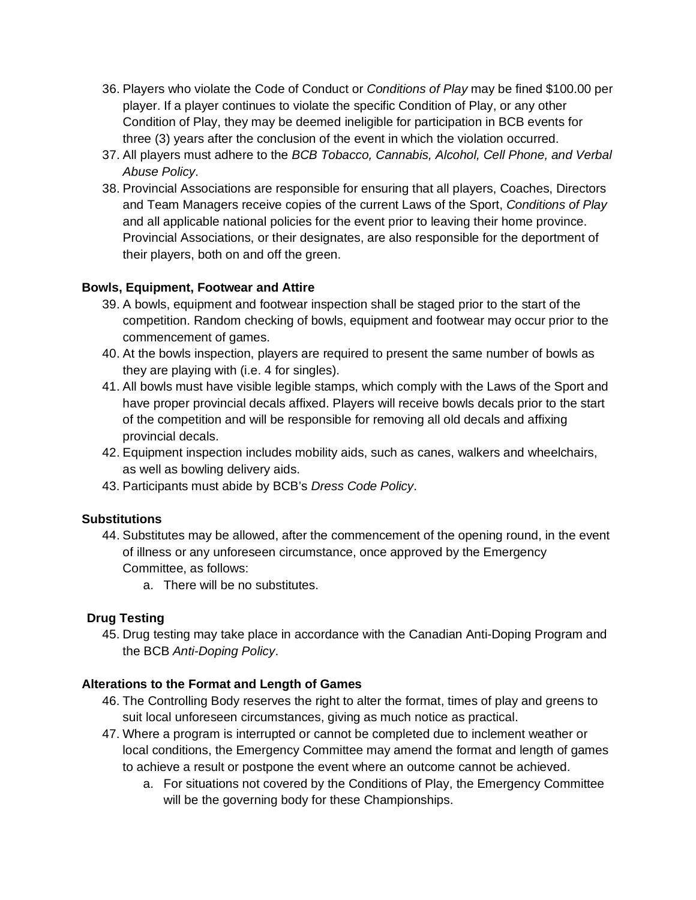- 36. Players who violate the Code of Conduct or *Conditions of Play* may be fined \$100.00 per player. If a player continues to violate the specific Condition of Play, or any other Condition of Play, they may be deemed ineligible for participation in BCB events for three (3) years after the conclusion of the event in which the violation occurred.
- 37. All players must adhere to the *BCB Tobacco, Cannabis, Alcohol, Cell Phone, and Verbal Abuse Policy*.
- 38. Provincial Associations are responsible for ensuring that all players, Coaches, Directors and Team Managers receive copies of the current Laws of the Sport, *Conditions of Play* and all applicable national policies for the event prior to leaving their home province. Provincial Associations, or their designates, are also responsible for the deportment of their players, both on and off the green.

## **Bowls, Equipment, Footwear and Attire**

- 39. A bowls, equipment and footwear inspection shall be staged prior to the start of the competition. Random checking of bowls, equipment and footwear may occur prior to the commencement of games.
- 40. At the bowls inspection, players are required to present the same number of bowls as they are playing with (i.e. 4 for singles).
- 41. All bowls must have visible legible stamps, which comply with the Laws of the Sport and have proper provincial decals affixed. Players will receive bowls decals prior to the start of the competition and will be responsible for removing all old decals and affixing provincial decals.
- 42. Equipment inspection includes mobility aids, such as canes, walkers and wheelchairs, as well as bowling delivery aids.
- 43. Participants must abide by BCB's *Dress Code Policy*.

#### **Substitutions**

- 44. Substitutes may be allowed, after the commencement of the opening round, in the event of illness or any unforeseen circumstance, once approved by the Emergency Committee, as follows:
	- a. There will be no substitutes.

## **Drug Testing**

45. Drug testing may take place in accordance with the Canadian Anti-Doping Program and the BCB *Anti-Doping Policy*.

#### **Alterations to the Format and Length of Games**

- 46. The Controlling Body reserves the right to alter the format, times of play and greens to suit local unforeseen circumstances, giving as much notice as practical.
- 47. Where a program is interrupted or cannot be completed due to inclement weather or local conditions, the Emergency Committee may amend the format and length of games to achieve a result or postpone the event where an outcome cannot be achieved.
	- a. For situations not covered by the Conditions of Play, the Emergency Committee will be the governing body for these Championships.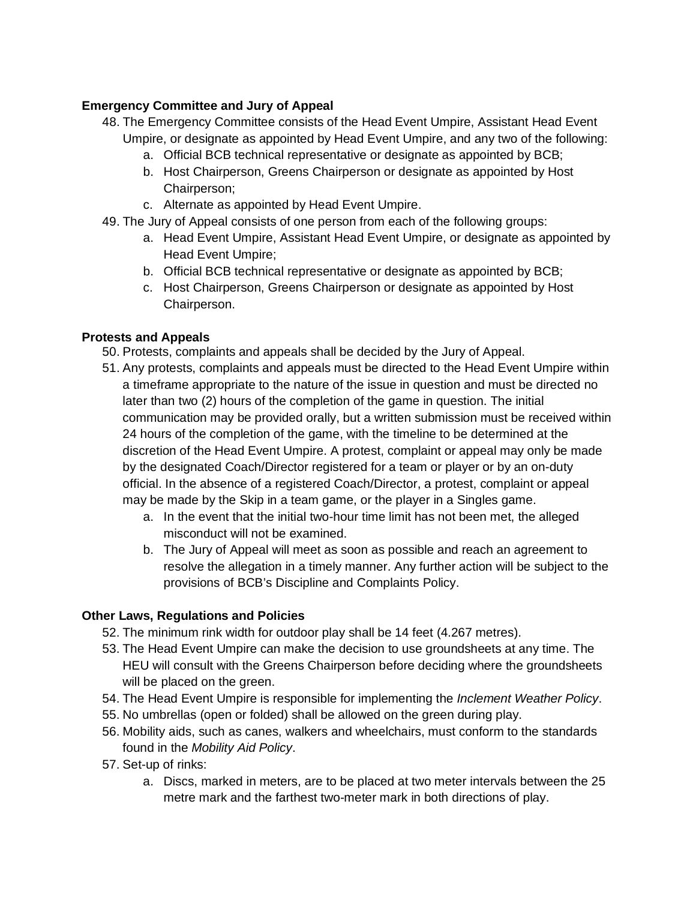# **Emergency Committee and Jury of Appeal**

- 48. The Emergency Committee consists of the Head Event Umpire, Assistant Head Event Umpire, or designate as appointed by Head Event Umpire, and any two of the following:
	- a. Official BCB technical representative or designate as appointed by BCB;
	- b. Host Chairperson, Greens Chairperson or designate as appointed by Host Chairperson;
	- c. Alternate as appointed by Head Event Umpire.
- 49. The Jury of Appeal consists of one person from each of the following groups:
	- a. Head Event Umpire, Assistant Head Event Umpire, or designate as appointed by Head Event Umpire;
	- b. Official BCB technical representative or designate as appointed by BCB;
	- c. Host Chairperson, Greens Chairperson or designate as appointed by Host Chairperson.

## **Protests and Appeals**

- 50. Protests, complaints and appeals shall be decided by the Jury of Appeal.
- 51. Any protests, complaints and appeals must be directed to the Head Event Umpire within a timeframe appropriate to the nature of the issue in question and must be directed no later than two (2) hours of the completion of the game in question. The initial communication may be provided orally, but a written submission must be received within 24 hours of the completion of the game, with the timeline to be determined at the discretion of the Head Event Umpire. A protest, complaint or appeal may only be made by the designated Coach/Director registered for a team or player or by an on-duty official. In the absence of a registered Coach/Director, a protest, complaint or appeal may be made by the Skip in a team game, or the player in a Singles game.
	- a. In the event that the initial two-hour time limit has not been met, the alleged misconduct will not be examined.
	- b. The Jury of Appeal will meet as soon as possible and reach an agreement to resolve the allegation in a timely manner. Any further action will be subject to the provisions of BCB's Discipline and Complaints Policy.

## **Other Laws, Regulations and Policies**

- 52. The minimum rink width for outdoor play shall be 14 feet (4.267 metres).
- 53. The Head Event Umpire can make the decision to use groundsheets at any time. The HEU will consult with the Greens Chairperson before deciding where the groundsheets will be placed on the green.
- 54. The Head Event Umpire is responsible for implementing the *Inclement Weather Policy*.
- 55. No umbrellas (open or folded) shall be allowed on the green during play.
- 56. Mobility aids, such as canes, walkers and wheelchairs, must conform to the standards found in the *Mobility Aid Policy*.
- 57. Set-up of rinks:
	- a. Discs, marked in meters, are to be placed at two meter intervals between the 25 metre mark and the farthest two-meter mark in both directions of play.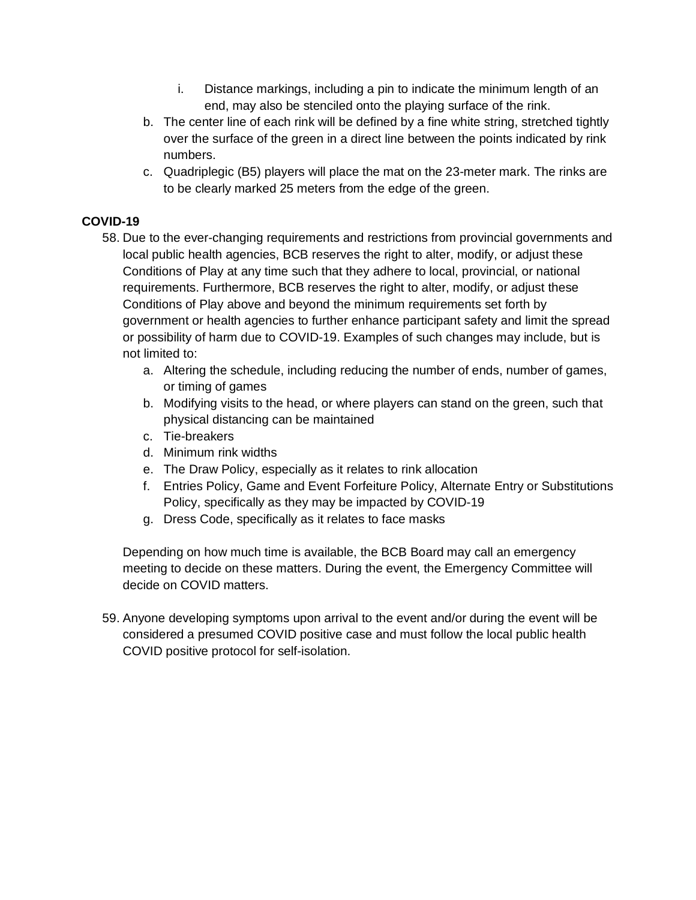- i. Distance markings, including a pin to indicate the minimum length of an end, may also be stenciled onto the playing surface of the rink.
- b. The center line of each rink will be defined by a fine white string, stretched tightly over the surface of the green in a direct line between the points indicated by rink numbers.
- c. Quadriplegic (B5) players will place the mat on the 23-meter mark. The rinks are to be clearly marked 25 meters from the edge of the green.

## **COVID-19**

- 58. Due to the ever-changing requirements and restrictions from provincial governments and local public health agencies, BCB reserves the right to alter, modify, or adjust these Conditions of Play at any time such that they adhere to local, provincial, or national requirements. Furthermore, BCB reserves the right to alter, modify, or adjust these Conditions of Play above and beyond the minimum requirements set forth by government or health agencies to further enhance participant safety and limit the spread or possibility of harm due to COVID-19. Examples of such changes may include, but is not limited to:
	- a. Altering the schedule, including reducing the number of ends, number of games, or timing of games
	- b. Modifying visits to the head, or where players can stand on the green, such that physical distancing can be maintained
	- c. Tie-breakers
	- d. Minimum rink widths
	- e. The Draw Policy, especially as it relates to rink allocation
	- f. Entries Policy, Game and Event Forfeiture Policy, Alternate Entry or Substitutions Policy, specifically as they may be impacted by COVID-19
	- g. Dress Code, specifically as it relates to face masks

Depending on how much time is available, the BCB Board may call an emergency meeting to decide on these matters. During the event, the Emergency Committee will decide on COVID matters.

59. Anyone developing symptoms upon arrival to the event and/or during the event will be considered a presumed COVID positive case and must follow the local public health COVID positive protocol for self-isolation.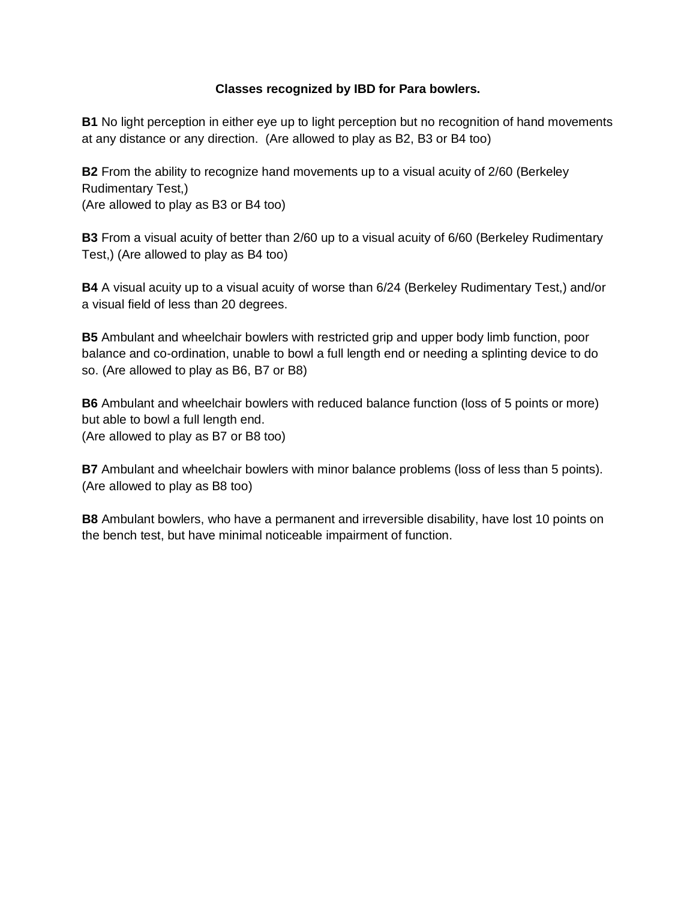#### **Classes recognized by IBD for Para bowlers.**

**B1** No light perception in either eye up to light perception but no recognition of hand movements at any distance or any direction. (Are allowed to play as B2, B3 or B4 too)

**B2** From the ability to recognize hand movements up to a visual acuity of 2/60 (Berkeley Rudimentary Test,) (Are allowed to play as B3 or B4 too)

**B3** From a visual acuity of better than 2/60 up to a visual acuity of 6/60 (Berkeley Rudimentary Test,) (Are allowed to play as B4 too)

**B4** A visual acuity up to a visual acuity of worse than 6/24 (Berkeley Rudimentary Test,) and/or a visual field of less than 20 degrees.

**B5** Ambulant and wheelchair bowlers with restricted grip and upper body limb function, poor balance and co-ordination, unable to bowl a full length end or needing a splinting device to do so. (Are allowed to play as B6, B7 or B8)

**B6** Ambulant and wheelchair bowlers with reduced balance function (loss of 5 points or more) but able to bowl a full length end. (Are allowed to play as B7 or B8 too)

**B7** Ambulant and wheelchair bowlers with minor balance problems (loss of less than 5 points). (Are allowed to play as B8 too)

**B8** Ambulant bowlers, who have a permanent and irreversible disability, have lost 10 points on the bench test, but have minimal noticeable impairment of function.